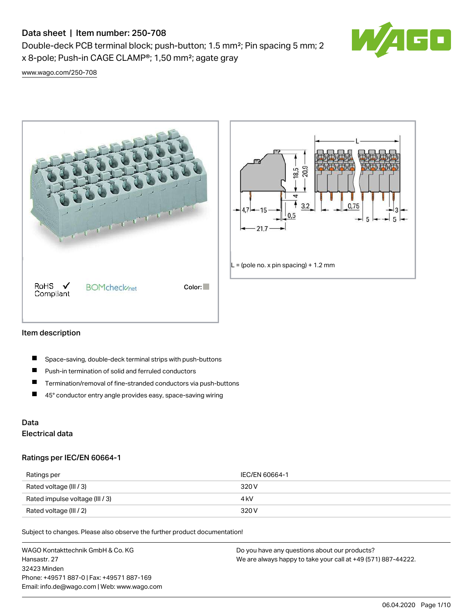# Data sheet | Item number: 250-708

Double-deck PCB terminal block; push-button; 1.5 mm²; Pin spacing 5 mm; 2 x 8-pole; Push-in CAGE CLAMP®; 1,50 mm²; agate gray



[www.wago.com/250-708](http://www.wago.com/250-708)





#### Item description

- П Space-saving, double-deck terminal strips with push-buttons
- $\blacksquare$ Push-in termination of solid and ferruled conductors
- $\blacksquare$ Termination/removal of fine-stranded conductors via push-buttons
- $\blacksquare$ 45° conductor entry angle provides easy, space-saving wiring

## Data Electrical data

#### Ratings per IEC/EN 60664-1

| Ratings per                     | IEC/EN 60664-1 |
|---------------------------------|----------------|
| Rated voltage (III / 3)         | 320 V          |
| Rated impulse voltage (III / 3) | 4 kV           |
| Rated voltage (III / 2)         | 320 V          |

Subject to changes. Please also observe the further product documentation!

WAGO Kontakttechnik GmbH & Co. KG Hansastr. 27 32423 Minden Phone: +49571 887-0 | Fax: +49571 887-169 Email: info.de@wago.com | Web: www.wago.com Do you have any questions about our products? We are always happy to take your call at +49 (571) 887-44222.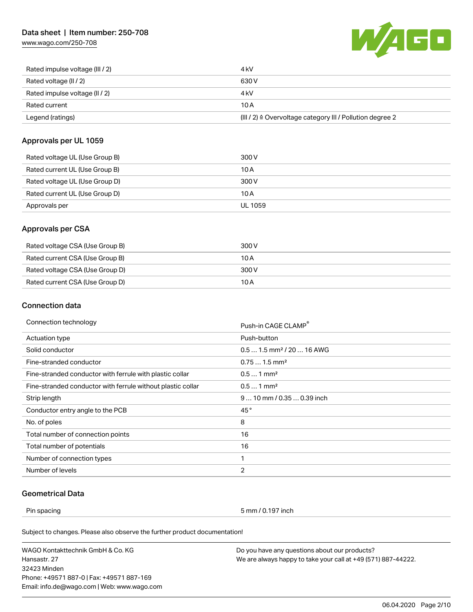## Data sheet | Item number: 250-708

[www.wago.com/250-708](http://www.wago.com/250-708)



| Rated impulse voltage (III / 2) | 4 kV                                                      |
|---------------------------------|-----------------------------------------------------------|
| Rated voltage (II / 2)          | 630 V                                                     |
| Rated impulse voltage (II / 2)  | 4 kV                                                      |
| Rated current                   | 10 A                                                      |
| Legend (ratings)                | (III / 2) ≙ Overvoltage category III / Pollution degree 2 |

### Approvals per UL 1059

| Rated voltage UL (Use Group B) | 300 V   |
|--------------------------------|---------|
| Rated current UL (Use Group B) | 10 A    |
| Rated voltage UL (Use Group D) | 300 V   |
| Rated current UL (Use Group D) | 10 A    |
| Approvals per                  | UL 1059 |

### Approvals per CSA

| Rated voltage CSA (Use Group B) | 300 V |
|---------------------------------|-------|
| Rated current CSA (Use Group B) | 10 A  |
| Rated voltage CSA (Use Group D) | 300 V |
| Rated current CSA (Use Group D) | 10 A  |

## Connection data

| Connection technology                                       | Push-in CAGE CLAMP®                   |
|-------------------------------------------------------------|---------------------------------------|
| <b>Actuation type</b>                                       | Push-button                           |
| Solid conductor                                             | $0.51.5$ mm <sup>2</sup> / 20  16 AWG |
| Fine-stranded conductor                                     | $0.751.5$ mm <sup>2</sup>             |
| Fine-stranded conductor with ferrule with plastic collar    | $0.51$ mm <sup>2</sup>                |
| Fine-stranded conductor with ferrule without plastic collar | $0.51$ mm <sup>2</sup>                |
| Strip length                                                | $910$ mm / 0.35  0.39 inch            |
| Conductor entry angle to the PCB                            | 45°                                   |
| No. of poles                                                | 8                                     |
| Total number of connection points                           | 16                                    |
| Total number of potentials                                  | 16                                    |
| Number of connection types                                  | 1                                     |
| Number of levels                                            | 2                                     |

## Geometrical Data

Pin spacing 5 mm / 0.197 inch

Subject to changes. Please also observe the further product documentation!

WAGO Kontakttechnik GmbH & Co. KG Hansastr. 27 32423 Minden Phone: +49571 887-0 | Fax: +49571 887-169 Email: info.de@wago.com | Web: www.wago.com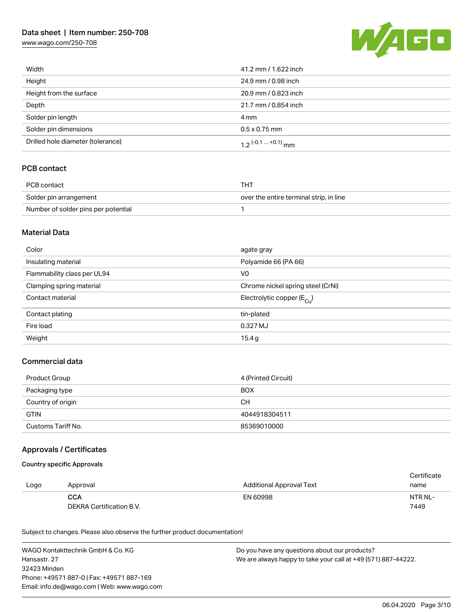## Data sheet | Item number: 250-708

[www.wago.com/250-708](http://www.wago.com/250-708)



| Width                             | 41.2 mm / 1.622 inch         |
|-----------------------------------|------------------------------|
| Height                            | 24.9 mm / 0.98 inch          |
| Height from the surface           | 20.9 mm / 0.823 inch         |
| Depth                             | 21.7 mm / 0.854 inch         |
| Solder pin length                 | 4 mm                         |
| Solder pin dimensions             | $0.5 \times 0.75$ mm         |
| Drilled hole diameter (tolerance) | $1.2$ $(-0.1 \dots +0.1)$ mm |

### PCB contact

| PCB contact                         | THT                                     |
|-------------------------------------|-----------------------------------------|
| Solder pin arrangement              | over the entire terminal strip, in line |
| Number of solder pins per potential |                                         |

#### Material Data

| Color                       | agate gray                            |
|-----------------------------|---------------------------------------|
| Insulating material         | Polyamide 66 (PA 66)                  |
| Flammability class per UL94 | V <sub>0</sub>                        |
| Clamping spring material    | Chrome nickel spring steel (CrNi)     |
| Contact material            | Electrolytic copper $(E_{\text{Cl}})$ |
| Contact plating             | tin-plated                            |
| Fire load                   | 0.327 MJ                              |
| Weight                      | 15.4g                                 |

### Commercial data

| Product Group      | 4 (Printed Circuit) |
|--------------------|---------------------|
| Packaging type     | <b>BOX</b>          |
| Country of origin  | CН                  |
| <b>GTIN</b>        | 4044918304511       |
| Customs Tariff No. | 85369010000         |

#### Approvals / Certificates

#### Country specific Approvals

|      |                          |                                 | Certificate |
|------|--------------------------|---------------------------------|-------------|
| Logo | Approval                 | <b>Additional Approval Text</b> | name        |
|      | <b>CCA</b>               | EN 60998                        | NTR NL-     |
|      | DEKRA Certification B.V. |                                 | 7449        |

Subject to changes. Please also observe the further product documentation!

WAGO Kontakttechnik GmbH & Co. KG Hansastr. 27 32423 Minden Phone: +49571 887-0 | Fax: +49571 887-169 Email: info.de@wago.com | Web: www.wago.com Do you have any questions about our products?

We are always happy to take your call at +49 (571) 887-44222.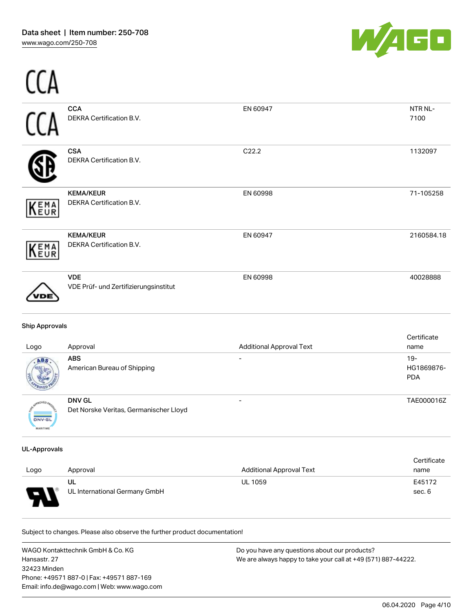...



| <b>Ship Approvals</b><br>Logo | Approval                                            | <b>Additional Approval Text</b> | Certificate<br>name |
|-------------------------------|-----------------------------------------------------|---------------------------------|---------------------|
|                               | <b>VDE</b><br>VDE Prüf- und Zertifizierungsinstitut | EN 60998                        | 40028888            |
| KEMA                          | <b>KEMA/KEUR</b><br>DEKRA Certification B.V.        | EN 60947                        | 2160584.18          |
| <b>KEMA</b>                   | <b>KEMA/KEUR</b><br>DEKRA Certification B.V.        | EN 60998                        | 71-105258           |
|                               | <b>CSA</b><br>DEKRA Certification B.V.              | C22.2                           | 1132097             |
|                               | <b>CCA</b><br>DEKRA Certification B.V.              | EN 60947                        | NTR NL-<br>7100     |
|                               |                                                     |                                 |                     |

| Logo          | Approval                                                | Additional Approval Text | name                               |
|---------------|---------------------------------------------------------|--------------------------|------------------------------------|
|               | <b>ABS</b><br>American Bureau of Shipping               |                          | $19 -$<br>HG1869876-<br><b>PDA</b> |
| <b>DNV-GL</b> | <b>DNV GL</b><br>Det Norske Veritas, Germanischer Lloyd | $\overline{\phantom{0}}$ | TAE000016Z                         |

#### UL-Approvals

MARITIME

| Logo | Approval                      | Additional Approval Text | Certificate<br>name |
|------|-------------------------------|--------------------------|---------------------|
|      | UL                            | <b>UL 1059</b>           | E45172              |
| o    | UL International Germany GmbH |                          | sec. 6              |

Subject to changes. Please also observe the further product documentation!

WAGO Kontakttechnik GmbH & Co. KG Hansastr. 27 32423 Minden Phone: +49571 887-0 | Fax: +49571 887-169 Email: info.de@wago.com | Web: www.wago.com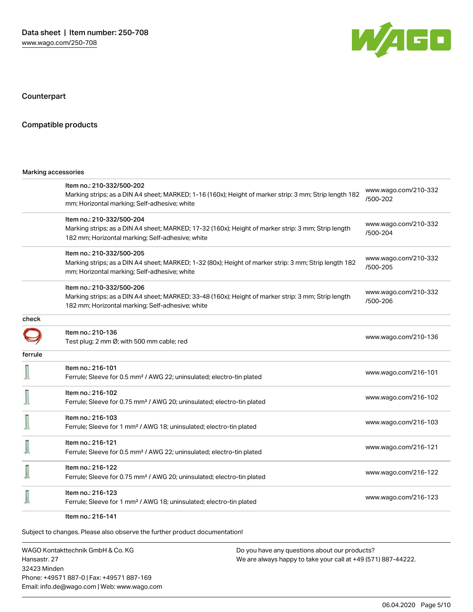

Counterpart

#### Compatible products

#### Marking accessories

|         | Item no.: 210-332/500-202<br>Marking strips; as a DIN A4 sheet; MARKED; 1-16 (160x); Height of marker strip: 3 mm; Strip length 182<br>mm; Horizontal marking; Self-adhesive; white  | www.wago.com/210-332<br>/500-202 |
|---------|--------------------------------------------------------------------------------------------------------------------------------------------------------------------------------------|----------------------------------|
|         | Item no.: 210-332/500-204<br>Marking strips; as a DIN A4 sheet; MARKED; 17-32 (160x); Height of marker strip: 3 mm; Strip length<br>182 mm; Horizontal marking; Self-adhesive; white | www.wago.com/210-332<br>/500-204 |
|         | Item no.: 210-332/500-205<br>Marking strips; as a DIN A4 sheet; MARKED; 1-32 (80x); Height of marker strip: 3 mm; Strip length 182<br>mm; Horizontal marking; Self-adhesive; white   | www.wago.com/210-332<br>/500-205 |
|         | Item no.: 210-332/500-206<br>Marking strips; as a DIN A4 sheet; MARKED; 33-48 (160x); Height of marker strip: 3 mm; Strip length<br>182 mm; Horizontal marking; Self-adhesive; white | www.wago.com/210-332<br>/500-206 |
| check   |                                                                                                                                                                                      |                                  |
|         | Item no.: 210-136<br>Test plug; 2 mm Ø; with 500 mm cable; red                                                                                                                       | www.wago.com/210-136             |
| ferrule |                                                                                                                                                                                      |                                  |
|         | Item no.: 216-101<br>Ferrule; Sleeve for 0.5 mm <sup>2</sup> / AWG 22; uninsulated; electro-tin plated                                                                               | www.wago.com/216-101             |
|         | Item no.: 216-102<br>Ferrule; Sleeve for 0.75 mm <sup>2</sup> / AWG 20; uninsulated; electro-tin plated                                                                              | www.wago.com/216-102             |
|         | Item no.: 216-103<br>Ferrule; Sleeve for 1 mm <sup>2</sup> / AWG 18; uninsulated; electro-tin plated                                                                                 | www.wago.com/216-103             |
|         | Item no.: 216-121<br>Ferrule; Sleeve for 0.5 mm <sup>2</sup> / AWG 22; uninsulated; electro-tin plated                                                                               | www.wago.com/216-121             |
|         | Item no.: 216-122<br>Ferrule; Sleeve for 0.75 mm <sup>2</sup> / AWG 20; uninsulated; electro-tin plated                                                                              | www.wago.com/216-122             |
|         | Item no.: 216-123<br>Ferrule; Sleeve for 1 mm <sup>2</sup> / AWG 18; uninsulated; electro-tin plated                                                                                 | www.wago.com/216-123             |
|         | Item no.: 216-141                                                                                                                                                                    |                                  |

Subject to changes. Please also observe the further product documentation!

WAGO Kontakttechnik GmbH & Co. KG Hansastr. 27 32423 Minden Phone: +49571 887-0 | Fax: +49571 887-169 Email: info.de@wago.com | Web: www.wago.com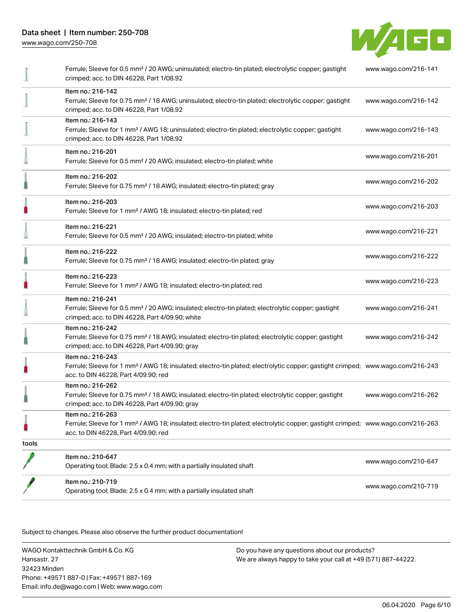

|       | Ferrule; Sleeve for 0.5 mm <sup>2</sup> / 20 AWG; uninsulated; electro-tin plated; electrolytic copper; gastight<br>crimped; acc. to DIN 46228, Part 1/08.92                                            | www.wago.com/216-141 |
|-------|---------------------------------------------------------------------------------------------------------------------------------------------------------------------------------------------------------|----------------------|
|       | Item no.: 216-142<br>Ferrule; Sleeve for 0.75 mm <sup>2</sup> / 18 AWG; uninsulated; electro-tin plated; electrolytic copper; gastight<br>crimped; acc. to DIN 46228, Part 1/08.92                      | www.wago.com/216-142 |
|       | Item no.: 216-143<br>Ferrule; Sleeve for 1 mm <sup>2</sup> / AWG 18; uninsulated; electro-tin plated; electrolytic copper; gastight<br>crimped; acc. to DIN 46228, Part 1/08.92                         | www.wago.com/216-143 |
|       | Item no.: 216-201<br>Ferrule; Sleeve for 0.5 mm <sup>2</sup> / 20 AWG; insulated; electro-tin plated; white                                                                                             | www.wago.com/216-201 |
|       | Item no.: 216-202<br>Ferrule; Sleeve for 0.75 mm <sup>2</sup> / 18 AWG; insulated; electro-tin plated; gray                                                                                             | www.wago.com/216-202 |
|       | Item no.: 216-203<br>Ferrule; Sleeve for 1 mm <sup>2</sup> / AWG 18; insulated; electro-tin plated; red                                                                                                 | www.wago.com/216-203 |
|       | Item no.: 216-221<br>Ferrule; Sleeve for 0.5 mm <sup>2</sup> / 20 AWG; insulated; electro-tin plated; white                                                                                             | www.wago.com/216-221 |
|       | Item no.: 216-222<br>Ferrule; Sleeve for 0.75 mm <sup>2</sup> / 18 AWG; insulated; electro-tin plated; gray                                                                                             | www.wago.com/216-222 |
|       | Item no.: 216-223<br>Ferrule; Sleeve for 1 mm <sup>2</sup> / AWG 18; insulated; electro-tin plated; red                                                                                                 | www.wago.com/216-223 |
|       | Item no.: 216-241<br>Ferrule; Sleeve for 0.5 mm <sup>2</sup> / 20 AWG; insulated; electro-tin plated; electrolytic copper; gastight<br>crimped; acc. to DIN 46228, Part 4/09.90; white                  | www.wago.com/216-241 |
|       | Item no.: 216-242<br>Ferrule; Sleeve for 0.75 mm <sup>2</sup> / 18 AWG; insulated; electro-tin plated; electrolytic copper; gastight<br>crimped; acc. to DIN 46228, Part 4/09.90; gray                  | www.wago.com/216-242 |
| n     | Item no.: 216-243<br>Ferrule; Sleeve for 1 mm <sup>2</sup> / AWG 18; insulated; electro-tin plated; electrolytic copper; gastight crimped; www.wago.com/216-243<br>acc. to DIN 46228, Part 4/09.90; red |                      |
|       | Item no.: 216-262<br>Ferrule; Sleeve for 0.75 mm <sup>2</sup> / 18 AWG; insulated; electro-tin plated; electrolytic copper; gastight<br>crimped; acc. to DIN 46228, Part 4/09.90; gray                  | www.wago.com/216-262 |
| 0     | Item no.: 216-263<br>Ferrule; Sleeve for 1 mm <sup>2</sup> / AWG 18; insulated; electro-tin plated; electrolytic copper; gastight crimped; www.wago.com/216-263<br>acc. to DIN 46228, Part 4/09.90; red |                      |
| tools |                                                                                                                                                                                                         |                      |
|       | Item no.: 210-647<br>Operating tool; Blade: 2.5 x 0.4 mm; with a partially insulated shaft                                                                                                              | www.wago.com/210-647 |
|       | Item no.: 210-719<br>Operating tool; Blade: 2.5 x 0.4 mm; with a partially insulated shaft                                                                                                              | www.wago.com/210-719 |

.<br>Subject to changes. Please also observe the further product documentation!

WAGO Kontakttechnik GmbH & Co. KG Hansastr. 27 32423 Minden Phone: +49571 887-0 | Fax: +49571 887-169 Email: info.de@wago.com | Web: www.wago.com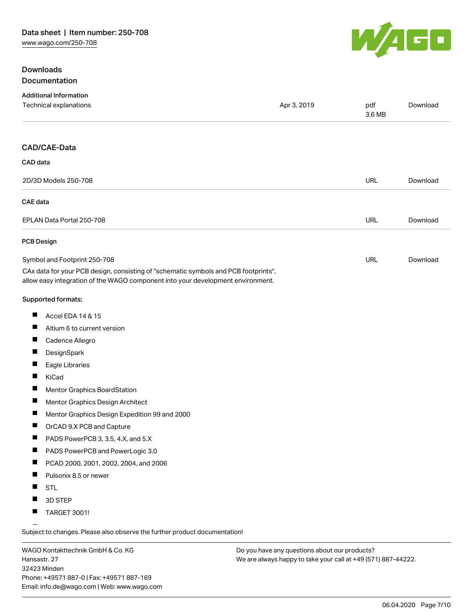## **Downloads** Documentation



| CAD/CAE-Data<br>CAD data                                                                                                                                               | <b>URL</b> | Download |
|------------------------------------------------------------------------------------------------------------------------------------------------------------------------|------------|----------|
|                                                                                                                                                                        |            |          |
|                                                                                                                                                                        |            |          |
| 2D/3D Models 250-708                                                                                                                                                   |            |          |
| <b>CAE</b> data                                                                                                                                                        |            |          |
| EPLAN Data Portal 250-708                                                                                                                                              | <b>URL</b> | Download |
| <b>PCB Design</b>                                                                                                                                                      |            |          |
| Symbol and Footprint 250-708                                                                                                                                           | URL        | Download |
| CAx data for your PCB design, consisting of "schematic symbols and PCB footprints",<br>allow easy integration of the WAGO component into your development environment. |            |          |
| Supported formats:                                                                                                                                                     |            |          |
| ш<br>Accel EDA 14 & 15                                                                                                                                                 |            |          |
| ш<br>Altium 6 to current version                                                                                                                                       |            |          |
| П<br>Cadence Allegro                                                                                                                                                   |            |          |
| Ц<br>DesignSpark                                                                                                                                                       |            |          |
| ш<br>Eagle Libraries                                                                                                                                                   |            |          |
| ш<br>KiCad                                                                                                                                                             |            |          |
| Ш<br>Mentor Graphics BoardStation                                                                                                                                      |            |          |
| ш<br>Mentor Graphics Design Architect                                                                                                                                  |            |          |
| ш<br>Mentor Graphics Design Expedition 99 and 2000                                                                                                                     |            |          |
| OrCAD 9.X PCB and Capture                                                                                                                                              |            |          |
| PADS PowerPCB 3, 3.5, 4.X, and 5.X                                                                                                                                     |            |          |
| ш<br>PADS PowerPCB and PowerLogic 3.0                                                                                                                                  |            |          |
| щ<br>PCAD 2000, 2001, 2002, 2004, and 2006                                                                                                                             |            |          |
| Pulsonix 8.5 or newer                                                                                                                                                  |            |          |
| ш<br><b>STL</b>                                                                                                                                                        |            |          |
| 3D STEP<br>ш                                                                                                                                                           |            |          |
| <b>TARGET 3001!</b>                                                                                                                                                    |            |          |

Subject to changes. Please also observe the further product documentation!

WAGO Kontakttechnik GmbH & Co. KG Hansastr. 27 32423 Minden Phone: +49571 887-0 | Fax: +49571 887-169 Email: info.de@wago.com | Web: www.wago.com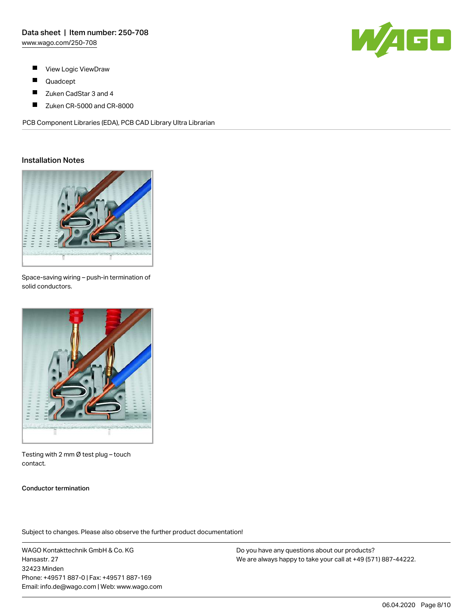

- $\blacksquare$ View Logic ViewDraw
- $\blacksquare$ Quadcept
- $\blacksquare$ Zuken CadStar 3 and 4
- $\blacksquare$ Zuken CR-5000 and CR-8000

PCB Component Libraries (EDA), PCB CAD Library Ultra Librarian

#### Installation Notes



Space-saving wiring – push-in termination of solid conductors.



Testing with 2 mm Ø test plug – touch contact.

#### Conductor termination

Subject to changes. Please also observe the further product documentation!

WAGO Kontakttechnik GmbH & Co. KG Hansastr. 27 32423 Minden Phone: +49571 887-0 | Fax: +49571 887-169 Email: info.de@wago.com | Web: www.wago.com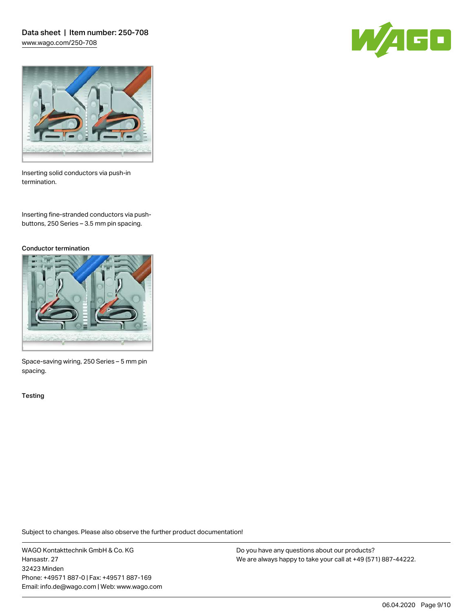Data sheet | Item number: 250-708 [www.wago.com/250-708](http://www.wago.com/250-708)





Inserting solid conductors via push-in termination.

Inserting fine-stranded conductors via pushbuttons, 250 Series – 3.5 mm pin spacing.

#### Conductor termination



Space-saving wiring, 250 Series – 5 mm pin spacing.

**Testing** 

Subject to changes. Please also observe the further product documentation!

WAGO Kontakttechnik GmbH & Co. KG Hansastr. 27 32423 Minden Phone: +49571 887-0 | Fax: +49571 887-169 Email: info.de@wago.com | Web: www.wago.com